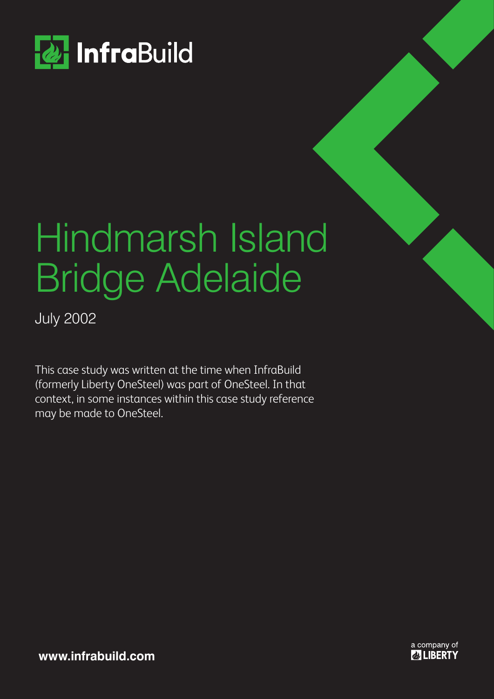

# Hindmarsh Island Bridge Adelaide

July 2002

This case study was written at the time when InfraBuild (formerly Liberty OneSteel) was part of OneSteel. In that context, in some instances within this case study reference may be made to OneSteel.

> a company of **& LIBERTY**

**www.infrabuild.com**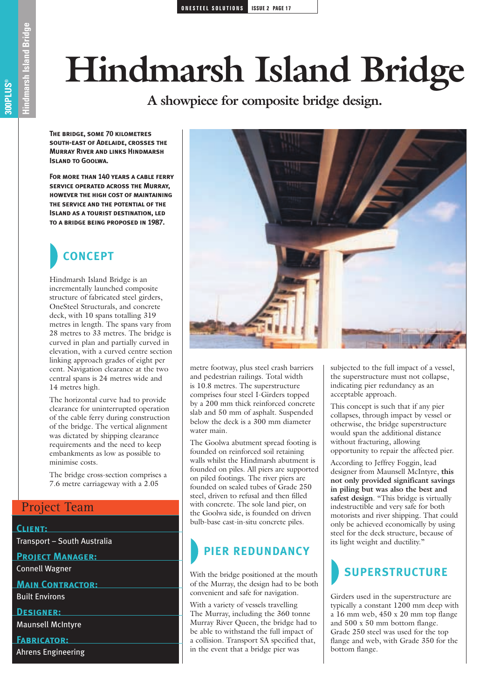# **Hindmarsh Island Bridge**

**A showpiece for composite bridge design.**

**The bridge, some 70 kilometres south-east of Adelaide, crosses theMurray River and links Hindmarsh Island to Goolwa.** 

**For more than 140 years a cable ferryservice operated across the Murray, however the high cost of maintainingthe service and the potential of theISLAND AS A TOURIST DESTINATION, LED to a bridge being proposed in 1987.** 

## **CONCEPT**

Hindmarsh Island Bridge is an incrementally launched composite structure of fabricated steel girders, OneSteel Structurals, and concrete deck, with 10 spans totalling 319 metres in length. The spans vary from 28 metres to 33 metres. The bridge is curved in plan and partially curved in elevation, with a curved centre section linking approach grades of eight per cent. Navigation clearance at the two central spans is 24 metres wide and 14 metres high.

The horizontal curve had to provide clearance for uninterrupted operation of the cable ferry during construction of the bridge. The vertical alignment was dictated by shipping clearance requirements and the need to keep embankments as low as possible to minimise costs.

The bridge cross-section comprises a 7.6 metre carriageway with a 2.05

### Project Team

#### **Client:**

Transport – South Australia

#### **Project Manager:**

Connell Wagner

**Main Contractor:** 

Built Environs

**Designer:**

Maunsell McIntyre

**Fabricator:** 

Ahrens Engineering



metre footway, plus steel crash barriers and pedestrian railings. Total width is 10.8 metres. The superstructure comprises four steel I-Girders topped by a 200 mm thick reinforced concrete slab and 50 mm of asphalt. Suspended below the deck is a 300 mm diameter water main.

The Goolwa abutment spread footing is founded on reinforced soil retaining walls whilst the Hindmarsh abutment is founded on piles. All piers are supported on piled footings. The river piers are founded on sealed tubes of Grade 250 steel, driven to refusal and then filled with concrete. The sole land pier, on the Goolwa side, is founded on driven bulb-base cast-in-situ concrete piles.

### **PIER REDUNDANCY**

With the bridge positioned at the mouth of the Murray, the design had to be both convenient and safe for navigation.

With a variety of vessels travelling The Murray, including the 360 tonne Murray River Queen, the bridge had to be able to withstand the full impact of a collision. Transport SA specified that, in the event that a bridge pier was

subjected to the full impact of a vessel, the superstructure must not collapse, indicating pier redundancy as an acceptable approach.

This concept is such that if any pier collapses, through impact by vessel or otherwise, the bridge superstructure would span the additional distance without fracturing, allowing opportunity to repair the affected pier.

According to Jeffrey Foggin, lead designer from Maunsell McIntyre, **this not only provided significant savings in piling but was also the best and** safest design. "This bridge is virtually indestructible and very safe for both motorists and river shipping. That could only be achieved economically by using steel for the deck structure, because of its light weight and ductility."

### **SUPERSTRUCTURE**

Girders used in the superstructure are typically a constant 1200 mm deep with a 16 mm web, 450 x 20 mm top flange and 500 x 50 mm bottom flange. Grade 250 steel was used for the top flange and web, with Grade 350 for the bottom flange.

arsh Island Bridge **Hindmarsh Island Bridge Structural section tag project name 300PLUS ®**